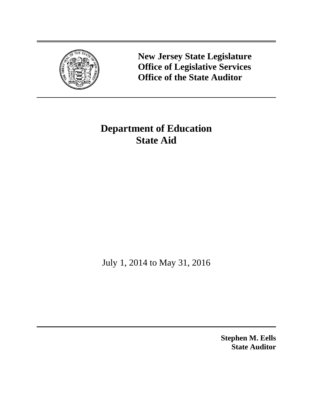

**New Jersey State Legislature Office of Legislative Services Office of the State Auditor**

# **Department of Education State Aid**

July 1, 2014 to May 31, 2016

**Stephen M. Eells State Auditor**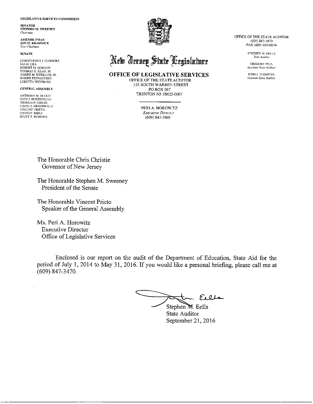LEGISLATIVE SERVICES COMMISSION

**SENATOR** STEPHEN M. SWEENEY Chairman

**ASSEMBLYMAN JON M. BRAMNICK** Vice-Chairman

#### **SENATE**

CHRISTOPHER J. CONNORS NIA H. GILL<br>ROBERT M. GORDON THOMAS H. KEAN, JR.<br>JOSEPH M, KYRILLOS, JR. JOSEPH PENNACCHIO **LORETTA WEINBERG** 

#### **GENERAL ASSEMBLY**

ANTHONY M. BUCCO JOHN J. BURZICHELLI THOMAS P. GIBLIN LOUIS D. GREENWALD<br>VINCENT PRIETO DAVID P. RIBLE SCOTT T. RUMANA



# New Jersey State Degislature

OFFICE OF LEGISLATIVE SERVICES OFFICE OF THE STATE AUDITOR

125 SOUTH WARREN STREET PO BOX 067 TRENTON NJ 08625-0067

> PERI A. HOROWITZ Executive Director  $(609)$  847-3901

OFFICE OF THE STATE AUDITOR (609) 847-3470 FAX (609) 633-0834

> STEPHEN M. EELLS State Andriot

**GREGORY PICA Assistant State Auditor** 

JOHN J. TERMYNA Assistant State Auditor

The Honorable Chris Christie Governor of New Jersey

The Honorable Stephen M. Sweeney President of the Senate

The Honorable Vincent Prieto Speaker of the General Assembly

Ms. Peri A. Horowitz **Executive Director** Office of Legislative Services

Enclosed is our report on the audit of the Department of Education, State Aid for the period of July 1, 2014 to May 31, 2016. If you would like a personal briefing, please call me at  $(609)$  847-3470.

- Elle Stephen M. Eells

State Auditor September 21, 2016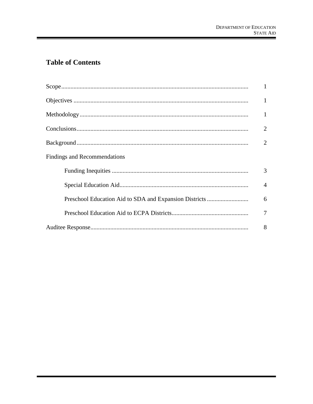# **Table of Contents**

|                              | $\mathbf{1}$   |
|------------------------------|----------------|
|                              | $\mathbf{1}$   |
|                              | 1              |
|                              | $\overline{2}$ |
|                              | $\overline{2}$ |
| Findings and Recommendations |                |
|                              | 3              |
|                              | $\overline{4}$ |
|                              | 6              |
|                              | 7              |
|                              | 8              |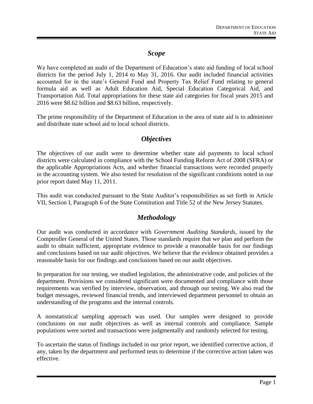# *Scope*

We have completed an audit of the Department of Education's state aid funding of local school districts for the period July 1, 2014 to May 31, 2016. Our audit included financial activities accounted for in the state's General Fund and Property Tax Relief Fund relating to general formula aid as well as Adult Education Aid, Special Education Categorical Aid, and Transportation Aid. Total appropriations for these state aid categories for fiscal years 2015 and 2016 were \$8.62 billion and \$8.63 billion, respectively.

The prime responsibility of the Department of Education in the area of state aid is to administer and distribute state school aid to local school districts.

# *Objectives*

The objectives of our audit were to determine whether state aid payments to local school districts were calculated in compliance with the School Funding Reform Act of 2008 (SFRA) or the applicable Appropriations Acts, and whether financial transactions were recorded properly in the accounting system. We also tested for resolution of the significant conditions noted in our prior report dated May 11, 2011.

This audit was conducted pursuant to the State Auditor's responsibilities as set forth in Article VII, Section I, Paragraph 6 of the State Constitution and Title 52 of the New Jersey Statutes.

# *Methodology*

Our audit was conducted in accordance with *Government Auditing Standards*, issued by the Comptroller General of the United States. Those standards require that we plan and perform the audit to obtain sufficient, appropriate evidence to provide a reasonable basis for our findings and conclusions based on our audit objectives. We believe that the evidence obtained provides a reasonable basis for our findings and conclusions based on our audit objectives.

In preparation for our testing, we studied legislation, the administrative code, and policies of the department. Provisions we considered significant were documented and compliance with those requirements was verified by interview, observation, and through our testing. We also read the budget messages, reviewed financial trends, and interviewed department personnel to obtain an understanding of the programs and the internal controls.

A nonstatistical sampling approach was used. Our samples were designed to provide conclusions on our audit objectives as well as internal controls and compliance. Sample populations were sorted and transactions were judgmentally and randomly selected for testing.

To ascertain the status of findings included in our prior report, we identified corrective action, if any, taken by the department and performed tests to determine if the corrective action taken was effective.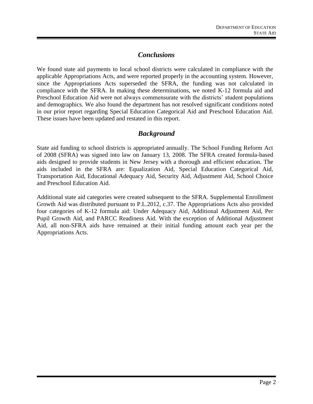# *Conclusions*

We found state aid payments to local school districts were calculated in compliance with the applicable Appropriations Acts, and were reported properly in the accounting system. However, since the Appropriations Acts superseded the SFRA, the funding was not calculated in compliance with the SFRA. In making these determinations, we noted K-12 formula aid and Preschool Education Aid were not always commensurate with the districts' student populations and demographics. We also found the department has not resolved significant conditions noted in our prior report regarding Special Education Categorical Aid and Preschool Education Aid. These issues have been updated and restated in this report.

# *Background*

State aid funding to school districts is appropriated annually. The School Funding Reform Act of 2008 (SFRA) was signed into law on January 13, 2008. The SFRA created formula-based aids designed to provide students in New Jersey with a thorough and efficient education. The aids included in the SFRA are: Equalization Aid, Special Education Categorical Aid, Transportation Aid, Educational Adequacy Aid, Security Aid, Adjustment Aid, School Choice and Preschool Education Aid.

Additional state aid categories were created subsequent to the SFRA. Supplemental Enrollment Growth Aid was distributed pursuant to P.L.2012, c.37. The Appropriations Acts also provided four categories of K-12 formula aid: Under Adequacy Aid, Additional Adjustment Aid, Per Pupil Growth Aid, and PARCC Readiness Aid. With the exception of Additional Adjustment Aid, all non-SFRA aids have remained at their initial funding amount each year per the Appropriations Acts.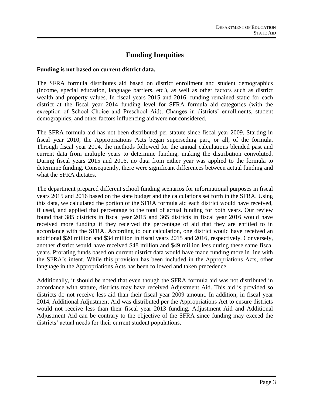# **Funding Inequities**

### **Funding is not based on current district data.**

The SFRA formula distributes aid based on district enrollment and student demographics (income, special education, language barriers, etc.), as well as other factors such as district wealth and property values. In fiscal years 2015 and 2016, funding remained static for each district at the fiscal year 2014 funding level for SFRA formula aid categories (with the exception of School Choice and Preschool Aid). Changes in districts' enrollments, student demographics, and other factors influencing aid were not considered.

The SFRA formula aid has not been distributed per statute since fiscal year 2009. Starting in fiscal year 2010, the Appropriations Acts began superseding part, or all, of the formula. Through fiscal year 2014, the methods followed for the annual calculations blended past and current data from multiple years to determine funding, making the distribution convoluted. During fiscal years 2015 and 2016, no data from either year was applied to the formula to determine funding. Consequently, there were significant differences between actual funding and what the SFRA dictates.

The department prepared different school funding scenarios for informational purposes in fiscal years 2015 and 2016 based on the state budget and the calculations set forth in the SFRA. Using this data, we calculated the portion of the SFRA formula aid each district would have received, if used, and applied that percentage to the total of actual funding for both years. Our review found that 385 districts in fiscal year 2015 and 365 districts in fiscal year 2016 would have received more funding if they received the percentage of aid that they are entitled to in accordance with the SFRA. According to our calculation, one district would have received an additional \$20 million and \$34 million in fiscal years 2015 and 2016, respectively. Conversely, another district would have received \$48 million and \$49 million less during these same fiscal years. Prorating funds based on current district data would have made funding more in line with the SFRA's intent. While this provision has been included in the Appropriations Acts, other language in the Appropriations Acts has been followed and taken precedence.

Additionally, it should be noted that even though the SFRA formula aid was not distributed in accordance with statute, districts may have received Adjustment Aid. This aid is provided so districts do not receive less aid than their fiscal year 2009 amount. In addition, in fiscal year 2014, Additional Adjustment Aid was distributed per the Appropriations Act to ensure districts would not receive less than their fiscal year 2013 funding. Adjustment Aid and Additional Adjustment Aid can be contrary to the objective of the SFRA since funding may exceed the districts' actual needs for their current student populations.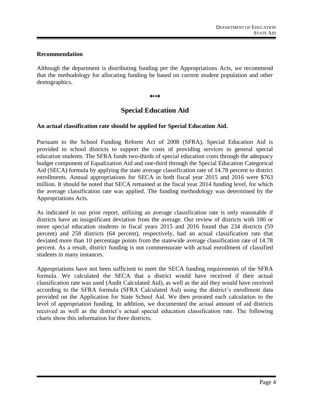### **Recommendation**

Although the department is distributing funding per the Appropriations Acts, we recommend that the methodology for allocating funding be based on current student population and other demographics.

<del>»∢∢</del>

# **Special Education Aid**

## **An actual classification rate should be applied for Special Education Aid.**

Pursuant to the School Funding Reform Act of 2008 (SFRA), Special Education Aid is provided to school districts to support the costs of providing services to general special education students. The SFRA funds two-thirds of special education costs through the adequacy budget component of Equalization Aid and one-third through the Special Education Categorical Aid (SECA) formula by applying the state average classification rate of 14.78 percent to district enrollments. Annual appropriations for SECA in both fiscal year 2015 and 2016 were \$763 million. It should be noted that SECA remained at the fiscal year 2014 funding level, for which the average classification rate was applied. The funding methodology was determined by the Appropriations Acts.

As indicated in our prior report, utilizing an average classification rate is only reasonable if districts have an insignificant deviation from the average. Our review of districts with 100 or more special education students in fiscal years 2015 and 2016 found that 234 districts (59 percent) and 258 districts (64 percent), respectively, had an actual classification rate that deviated more than 10 percentage points from the statewide average classification rate of 14.78 percent. As a result, district funding is not commensurate with actual enrollment of classified students in many instances.

Appropriations have not been sufficient to meet the SECA funding requirements of the SFRA formula. We calculated the SECA that a district would have received if their actual classification rate was used (Audit Calculated Aid), as well as the aid they would have received according to the SFRA formula (SFRA Calculated Aid) using the district's enrollment data provided on the Application for State School Aid. We then prorated each calculation to the level of appropriation funding. In addition, we documented the actual amount of aid districts received as well as the district's actual special education classification rate. The following charts show this information for three districts.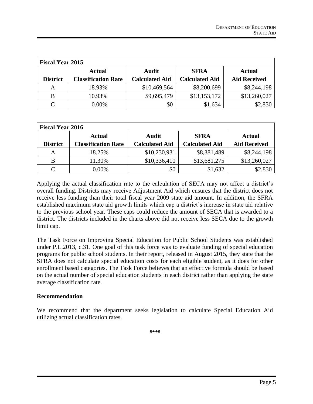| <b>Fiscal Year 2015</b> |                            |                       |                       |                     |  |  |  |
|-------------------------|----------------------------|-----------------------|-----------------------|---------------------|--|--|--|
|                         | Actual                     | <b>Audit</b>          | <b>SFRA</b>           | <b>Actual</b>       |  |  |  |
| <b>District</b>         | <b>Classification Rate</b> | <b>Calculated Aid</b> | <b>Calculated Aid</b> | <b>Aid Received</b> |  |  |  |
|                         | 18.93%                     | \$10,469,564          | \$8,200,699           | \$8,244,198         |  |  |  |
| B                       | 10.93%                     | \$9,695,479           | \$13,153,172          | \$13,260,027        |  |  |  |
|                         | $0.00\%$                   | \$0                   | \$1,634               | \$2,830             |  |  |  |

| <b>Fiscal Year 2016</b> |                            |                       |                       |                     |  |  |
|-------------------------|----------------------------|-----------------------|-----------------------|---------------------|--|--|
|                         | <b>Actual</b>              | <b>Audit</b>          | <b>SFRA</b>           | <b>Actual</b>       |  |  |
| <b>District</b>         | <b>Classification Rate</b> | <b>Calculated Aid</b> | <b>Calculated Aid</b> | <b>Aid Received</b> |  |  |
| A                       | 18.25%                     | \$10,230,931          | \$8,381,489           | \$8,244,198         |  |  |
| B                       | 11.30%                     | \$10,336,410          | \$13,681,275          | \$13,260,027        |  |  |
|                         | $0.00\%$                   | \$0                   | \$1,632               | \$2,830             |  |  |

Applying the actual classification rate to the calculation of SECA may not affect a district's overall funding. Districts may receive Adjustment Aid which ensures that the district does not receive less funding than their total fiscal year 2009 state aid amount. In addition, the SFRA established maximum state aid growth limits which cap a district's increase in state aid relative to the previous school year. These caps could reduce the amount of SECA that is awarded to a district. The districts included in the charts above did not receive less SECA due to the growth limit cap.

The Task Force on Improving Special Education for Public School Students was established under P.L.2013, c.31. One goal of this task force was to evaluate funding of special education programs for public school students. In their report, released in August 2015, they state that the SFRA does not calculate special education costs for each eligible student, as it does for other enrollment based categories. The Task Force believes that an effective formula should be based on the actual number of special education students in each district rather than applying the state average classification rate.

### **Recommendation**

We recommend that the department seeks legislation to calculate Special Education Aid utilizing actual classification rates.

<del>»∢∢</del>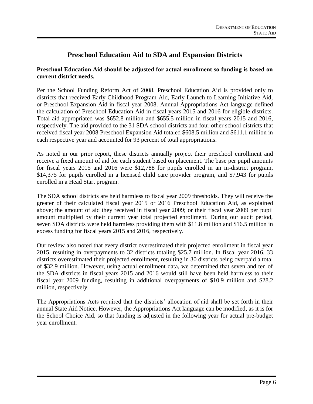# **Preschool Education Aid to SDA and Expansion Districts**

## **Preschool Education Aid should be adjusted for actual enrollment so funding is based on current district needs.**

Per the School Funding Reform Act of 2008, Preschool Education Aid is provided only to districts that received Early Childhood Program Aid, Early Launch to Learning Initiative Aid, or Preschool Expansion Aid in fiscal year 2008. Annual Appropriations Act language defined the calculation of Preschool Education Aid in fiscal years 2015 and 2016 for eligible districts. Total aid appropriated was \$652.8 million and \$655.5 million in fiscal years 2015 and 2016, respectively. The aid provided to the 31 SDA school districts and four other school districts that received fiscal year 2008 Preschool Expansion Aid totaled \$608.5 million and \$611.1 million in each respective year and accounted for 93 percent of total appropriations.

As noted in our prior report, these districts annually project their preschool enrollment and receive a fixed amount of aid for each student based on placement. The base per pupil amounts for fiscal years 2015 and 2016 were \$12,788 for pupils enrolled in an in-district program, \$14,375 for pupils enrolled in a licensed child care provider program, and \$7,943 for pupils enrolled in a Head Start program.

The SDA school districts are held harmless to fiscal year 2009 thresholds. They will receive the greater of their calculated fiscal year 2015 or 2016 Preschool Education Aid, as explained above; the amount of aid they received in fiscal year 2009; or their fiscal year 2009 per pupil amount multiplied by their current year total projected enrollment. During our audit period, seven SDA districts were held harmless providing them with \$11.8 million and \$16.5 million in excess funding for fiscal years 2015 and 2016, respectively.

Our review also noted that every district overestimated their projected enrollment in fiscal year 2015, resulting in overpayments to 32 districts totaling \$25.7 million. In fiscal year 2016, 33 districts overestimated their projected enrollment, resulting in 30 districts being overpaid a total of \$32.9 million. However, using actual enrollment data, we determined that seven and ten of the SDA districts in fiscal years 2015 and 2016 would still have been held harmless to their fiscal year 2009 funding, resulting in additional overpayments of \$10.9 million and \$28.2 million, respectively.

The Appropriations Acts required that the districts' allocation of aid shall be set forth in their annual State Aid Notice. However, the Appropriations Act language can be modified, as it is for the School Choice Aid, so that funding is adjusted in the following year for actual pre-budget year enrollment.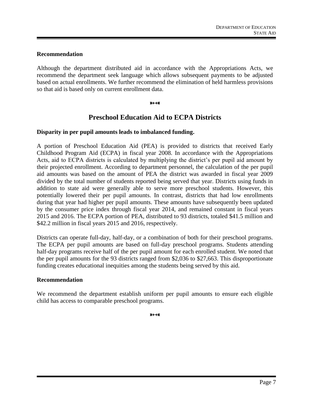### **Recommendation**

Although the department distributed aid in accordance with the Appropriations Acts, we recommend the department seek language which allows subsequent payments to be adjusted based on actual enrollments. We further recommend the elimination of held harmless provisions so that aid is based only on current enrollment data.

### $W + 4W$

# **Preschool Education Aid to ECPA Districts**

### **Disparity in per pupil amounts leads to imbalanced funding.**

A portion of Preschool Education Aid (PEA) is provided to districts that received Early Childhood Program Aid (ECPA) in fiscal year 2008. In accordance with the Appropriations Acts, aid to ECPA districts is calculated by multiplying the district's per pupil aid amount by their projected enrollment. According to department personnel, the calculation of the per pupil aid amounts was based on the amount of PEA the district was awarded in fiscal year 2009 divided by the total number of students reported being served that year. Districts using funds in addition to state aid were generally able to serve more preschool students. However, this potentially lowered their per pupil amounts. In contrast, districts that had low enrollments during that year had higher per pupil amounts. These amounts have subsequently been updated by the consumer price index through fiscal year 2014, and remained constant in fiscal years 2015 and 2016. The ECPA portion of PEA, distributed to 93 districts, totaled \$41.5 million and \$42.2 million in fiscal years 2015 and 2016, respectively.

Districts can operate full-day, half-day, or a combination of both for their preschool programs. The ECPA per pupil amounts are based on full-day preschool programs. Students attending half-day programs receive half of the per pupil amount for each enrolled student. We noted that the per pupil amounts for the 93 districts ranged from \$2,036 to \$27,663. This disproportionate funding creates educational inequities among the students being served by this aid.

### **Recommendation**

We recommend the department establish uniform per pupil amounts to ensure each eligible child has access to comparable preschool programs.

₩ <del>₩</del>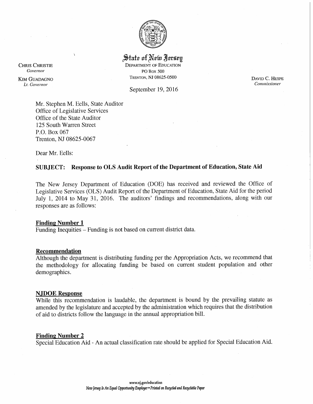

### State of New Nersey **DEPARTMENT OF EDUCATION** PO Box 500

TRENTON, NJ 08625-0500

September 19, 2016

DAVID C. HESPE Commissioner

Mr. Stephen M. Eells, State Auditor Office of Legislative Services Office of the State Auditor 125 South Warren Street P.O. Box 067 Trenton, NJ 08625-0067

Dear Mr. Eells:

### SUBJECT: Response to OLS Audit Report of the Department of Education, State Aid

The New Jersey Department of Education (DOE) has received and reviewed the Office of Legislative Services (OLS) Audit Report of the Department of Education, State Aid for the period July 1, 2014 to May 31, 2016. The auditors' findings and recommendations, along with our responses are as follows:

### **Finding Number 1**

Funding Inequities – Funding is not based on current district data.

### Recommendation

Although the department is distributing funding per the Appropriation Acts, we recommend that the methodology for allocating funding be based on current student population and other demographics.

### **NJDOE Response**

While this recommendation is laudable, the department is bound by the prevailing statute as amended by the legislature and accepted by the administration which requires that the distribution of aid to districts follow the language in the annual appropriation bill.

### **Finding Number 2**

Special Education Aid - An actual classification rate should be applied for Special Education Aid.

**CHRIS CHRISTIE Governor** 

**KIM GUADAGNO** Lt. Governor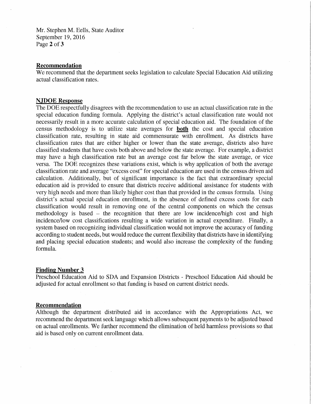Mr. Stephen M. Eells, State Auditor September 19, 2016 Page 2 of 3

### **Recommendation**

We recommend that the department seeks legislation to calculate Special Education Aid utilizing actual classification rates.

### **NJDOE Response**

The DOE respectfully disagrees with the recommendation to use an actual classification rate in the special education funding formula. Applying the district's actual classification rate would not necessarily result in a more accurate calculation of special education aid. The foundation of the census methodology is to utilize state averages for **both** the cost and special education classification rate, resulting in state aid commensurate with enrollment. As districts have classification rates that are either higher or lower than the state average, districts also have classified students that have costs both above and below the state average. For example, a district may have a high classification rate but an average cost far below the state average, or vice versa. The DOE recognizes these variations exist, which is why application of both the average classification rate and average "excess cost" for special education are used in the census driven aid calculation. Additionally, but of significant importance is the fact that extraordinary special education aid is provided to ensure that districts receive additional assistance for students with very high needs and more than likely higher cost than that provided in the census formula. Using district's actual special education enrollment, in the absence of defined excess costs for each classification would result in removing one of the central components on which the census methodology is based – the recognition that there are low incidence/high cost and high incidence/low cost classifications resulting a wide variation in actual expenditure. Finally, a system based on recognizing individual classification would not improve the accuracy of funding according to student needs, but would reduce the current flexibility that districts have in identifying and placing special education students; and would also increase the complexity of the funding formula.

### **Finding Number 3**

Preschool Education Aid to SDA and Expansion Districts - Preschool Education Aid should be adjusted for actual enrollment so that funding is based on current district needs.

### Recommendation

Although the department distributed aid in accordance with the Appropriations Act, we recommend the department seek language which allows subsequent payments to be adjusted based on actual enrollments. We further recommend the elimination of held harmless provisions so that aid is based only on current enrollment data.